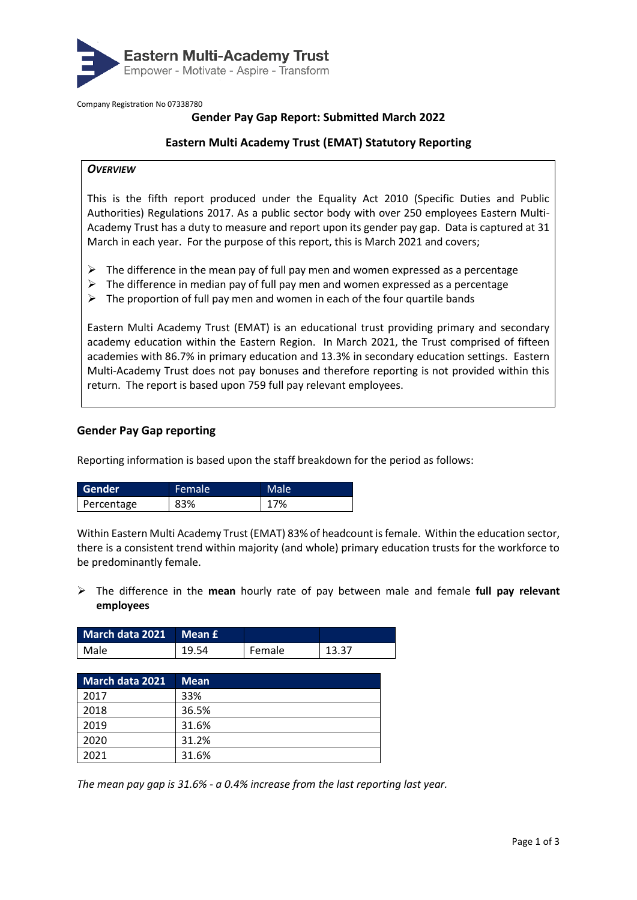

Company Registration No 07338780

# **Gender Pay Gap Report: Submitted March 2022**

## **Eastern Multi Academy Trust (EMAT) Statutory Reporting**

## *OVERVIEW*

This is the fifth report produced under the Equality Act 2010 (Specific Duties and Public Authorities) Regulations 2017. As a public sector body with over 250 employees Eastern Multi-Academy Trust has a duty to measure and report upon its gender pay gap. Data is captured at 31 March in each year. For the purpose of this report, this is March 2021 and covers;

- $\triangleright$  The difference in the mean pay of full pay men and women expressed as a percentage
- $\triangleright$  The difference in median pay of full pay men and women expressed as a percentage
- $\triangleright$  The proportion of full pay men and women in each of the four quartile bands

Eastern Multi Academy Trust (EMAT) is an educational trust providing primary and secondary academy education within the Eastern Region. In March 2021, the Trust comprised of fifteen academies with 86.7% in primary education and 13.3% in secondary education settings. Eastern Multi-Academy Trust does not pay bonuses and therefore reporting is not provided within this return. The report is based upon 759 full pay relevant employees.

## **Gender Pay Gap reporting**

Reporting information is based upon the staff breakdown for the period as follows:

| <b>Gender</b> | Female | Male |
|---------------|--------|------|
| Percentage    | 83%    | 17%  |

Within Eastern Multi Academy Trust (EMAT) 83% of headcount is female. Within the education sector, there is a consistent trend within majority (and whole) primary education trusts for the workforce to be predominantly female.

➢ The difference in the **mean** hourly rate of pay between male and female **full pay relevant employees**

| March data 2021 Mean £ |      |        |       |
|------------------------|------|--------|-------|
| Male                   | 1954 | Female | 13.37 |

| <b>March data 2021</b> | <b>Mean</b> |
|------------------------|-------------|
| 2017                   | 33%         |
| 2018                   | 36.5%       |
| 2019                   | 31.6%       |
| 2020                   | 31.2%       |
| 2021                   | 31.6%       |

*The mean pay gap is 31.6% - a 0.4% increase from the last reporting last year.*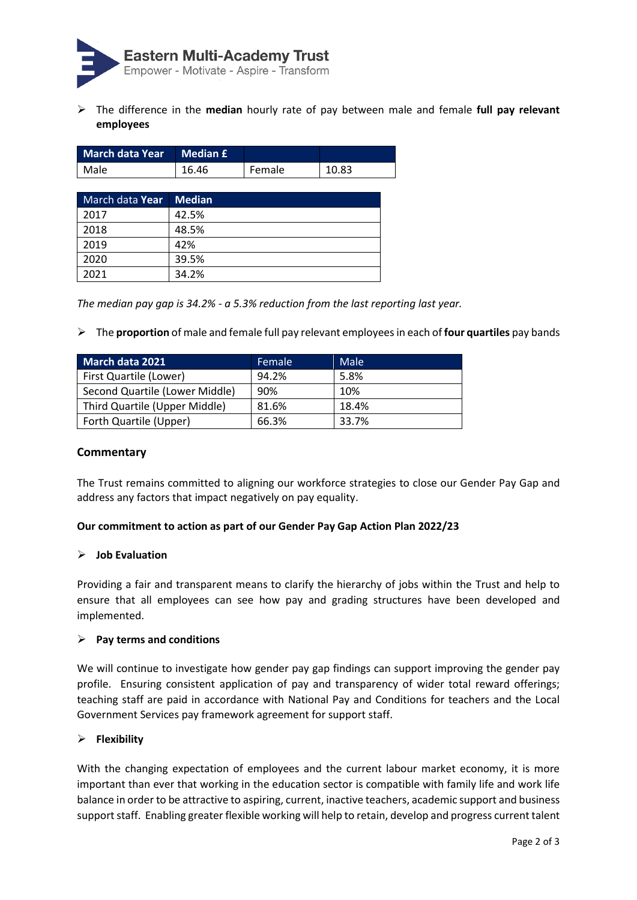

➢ The difference in the **median** hourly rate of pay between male and female **full pay relevant employees**

| <b>March data Year</b> | <b>Median £</b> |        |       |
|------------------------|-----------------|--------|-------|
| Male                   | 16.46           | Female | 10.83 |
|                        |                 |        |       |
| March data Year        | <b>Median</b>   |        |       |
| 2017                   | 42.5%           |        |       |
| 2018                   | 48.5%           |        |       |
| 2019                   | 42%             |        |       |
| 2020                   | 39.5%           |        |       |
| 2021                   | 34.2%           |        |       |

*The median pay gap is 34.2% - a 5.3% reduction from the last reporting last year.*

➢ The **proportion** of male and female full pay relevant employees in each of **four quartiles** pay bands

| <b>March data 2021</b>         | Female | Male  |
|--------------------------------|--------|-------|
| First Quartile (Lower)         | 94.2%  | 5.8%  |
| Second Quartile (Lower Middle) | 90%    | 10%   |
| Third Quartile (Upper Middle)  | 81.6%  | 18.4% |
| Forth Quartile (Upper)         | 66.3%  | 33.7% |

## **Commentary**

The Trust remains committed to aligning our workforce strategies to close our Gender Pay Gap and address any factors that impact negatively on pay equality.

## **Our commitment to action as part of our Gender Pay Gap Action Plan 2022/23**

#### ➢ **Job Evaluation**

Providing a fair and transparent means to clarify the hierarchy of jobs within the Trust and help to ensure that all employees can see how pay and grading structures have been developed and implemented.

#### ➢ **Pay terms and conditions**

We will continue to investigate how gender pay gap findings can support improving the gender pay profile. Ensuring consistent application of pay and transparency of wider total reward offerings; teaching staff are paid in accordance with National Pay and Conditions for teachers and the Local Government Services pay framework agreement for support staff.

#### ➢ **Flexibility**

With the changing expectation of employees and the current labour market economy, it is more important than ever that working in the education sector is compatible with family life and work life balance in order to be attractive to aspiring, current, inactive teachers, academic support and business support staff. Enabling greater flexible working will help to retain, develop and progress current talent